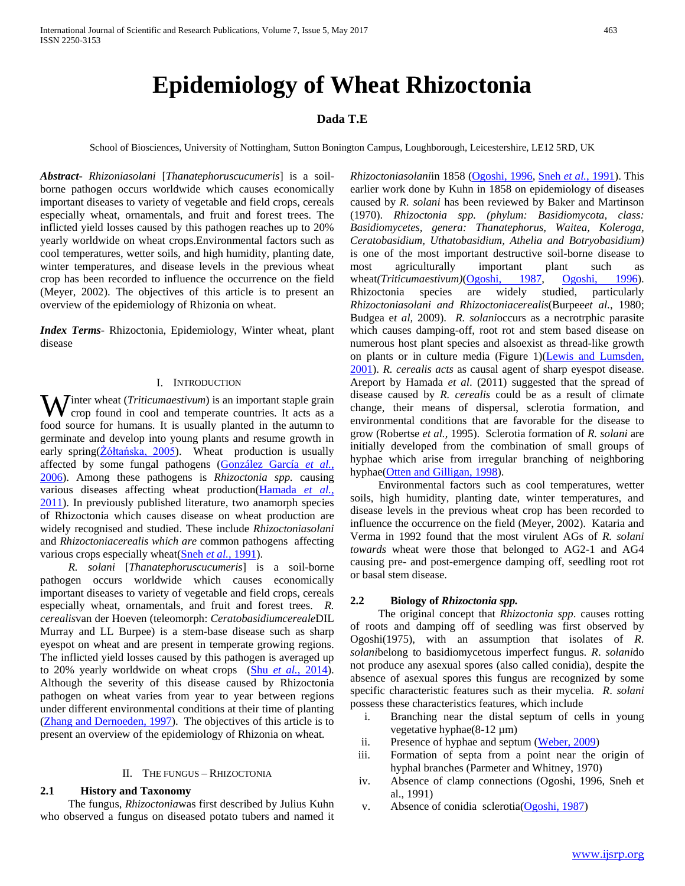# **Epidemiology of Wheat Rhizoctonia**

# **Dada T.E**

School of Biosciences, University of Nottingham, Sutton Bonington Campus, Loughborough, Leicestershire, LE12 5RD, UK

*Abstract***-** *Rhizoniasolani* [*Thanatephoruscucumeris*] is a soilborne pathogen occurs worldwide which causes economically important diseases to variety of vegetable and field crops, cereals especially wheat, ornamentals, and fruit and forest trees. The inflicted yield losses caused by this pathogen reaches up to 20% yearly worldwide on wheat crops.Environmental factors such as cool temperatures, wetter soils, and high humidity, planting date, winter temperatures, and disease levels in the previous wheat crop has been recorded to influence the occurrence on the field (Meyer, 2002). The objectives of this article is to present an overview of the epidemiology of Rhizonia on wheat.

*Index Terms*- Rhizoctonia, Epidemiology, Winter wheat, plant disease

#### I. INTRODUCTION

**W** inter wheat (*Triticumaestivum*) is an important staple grain crop found in cool and temperate countries. It acts as a crop found in cool and temperate countries. It acts as a food source for humans. It is usually planted in the autumn to germinate and develop into young plants and resume growth in early spring(Żółtańska, 2005). Wheat production is usually affected by some fungal pathogens (González García *et al.*, 2006). Among these pathogens is *Rhizoctonia spp.* causing various diseases affecting wheat production(Hamada *et al.*, 2011). In previously published literature, two anamorph species of Rhizoctonia which causes disease on wheat production are widely recognised and studied. These include *Rhizoctoniasolani* and *Rhizoctoniacerealis which are* common pathogens affecting various crops especially wheat(Sneh et al., 1991).

 *R. solani* [*Thanatephoruscucumeris*] is a soil-borne pathogen occurs worldwide which causes economically important diseases to variety of vegetable and field crops, cereals especially wheat, ornamentals, and fruit and forest trees. *R. cerealis*van der Hoeven (teleomorph: *Ceratobasidiumcereale*DIL Murray and LL Burpee) is a stem-base disease such as sharp eyespot on wheat and are present in temperate growing regions. The inflicted yield losses caused by this pathogen is averaged up to 20% yearly worldwide on wheat crops (Shu *et al.*, 2014). Although the severity of this disease caused by Rhizoctonia pathogen on wheat varies from year to year between regions under different environmental conditions at their time of planting (Zhang and Dernoeden, 1997). The objectives of this article is to present an overview of the epidemiology of Rhizonia on wheat.

#### II. THE FUNGUS – RHIZOCTONIA

## **2.1 History and Taxonomy**

The fungus, *Rhizoctonia*was first described by Julius Kuhn who observed a fungus on diseased potato tubers and named it *Rhizoctoniasolani*in 1858 (Ogoshi, 1996, Sneh *et al.*, 1991). This earlier work done by Kuhn in 1858 on epidemiology of diseases caused by *R. solani* has been reviewed by Baker and Martinson (1970). *Rhizoctonia spp. (phylum: Basidiomycota, class: Basidiomycetes, genera: Thanatephorus, Waitea, Koleroga, Ceratobasidium, Uthatobasidium, Athelia and Botryobasidium)*  is one of the most important destructive soil-borne disease to most agriculturally important plant such as most agriculturally important plant such as wheat*(Triticumaestivum)*(Ogoshi, 1987, Ogoshi, 1996). Rhizoctonia species are widely studied, particularly *Rhizoctoniasolani and Rhizoctoniacerealis*(Burpee*et al.*, 1980; Budgea e*t al,* 2009). *R. solani*occurs as a necrotrphic parasite which causes damping-off, root rot and stem based disease on numerous host plant species and alsoexist as thread-like growth on plants or in culture media (Figure 1)(Lewis and Lumsden, 2001). *R. cerealis acts* as causal agent of sharp eyespot disease. Areport by Hamada *et al*. (2011) suggested that the spread of disease caused by *R. cerealis* could be as a result of climate change, their means of dispersal, sclerotia formation, and environmental conditions that are favorable for the disease to grow (Robertse *et al.,* 1995). Sclerotia formation of *R. solani* are initially developed from the combination of small groups of hyphae which arise from irregular branching of neighboring hyphae(Otten and Gilligan, 1998).

Environmental factors such as cool temperatures, wetter soils, high humidity, planting date, winter temperatures, and disease levels in the previous wheat crop has been recorded to influence the occurrence on the field (Meyer, 2002). Kataria and Verma in 1992 found that the most virulent AGs of *R. solani towards* wheat were those that belonged to AG2-1 and AG4 causing pre- and post-emergence damping off, seedling root rot or basal stem disease.

#### **2.2 Biology of** *Rhizoctonia spp.*

The original concept that *Rhizoctonia spp*. causes rotting of roots and damping off of seedling was first observed by Ogoshi(1975), with an assumption that isolates of *R*. *solani*belong to basidiomycetous imperfect fungus. *R*. *solani*do not produce any asexual spores (also called conidia), despite the absence of asexual spores this fungus are recognized by some specific characteristic features such as their mycelia. *R*. *solani* possess these characteristics features, which include

- i. Branching near the distal septum of cells in young vegetative hyphae(8-12 µm)
- ii. Presence of hyphae and septum (Weber, 2009)
- iii. Formation of septa from a point near the origin of hyphal branches (Parmeter and Whitney, 1970)
- iv. Absence of clamp connections (Ogoshi, 1996, Sneh et al., 1991)
- v. Absence of conidia sclerotia(Ogoshi, 1987)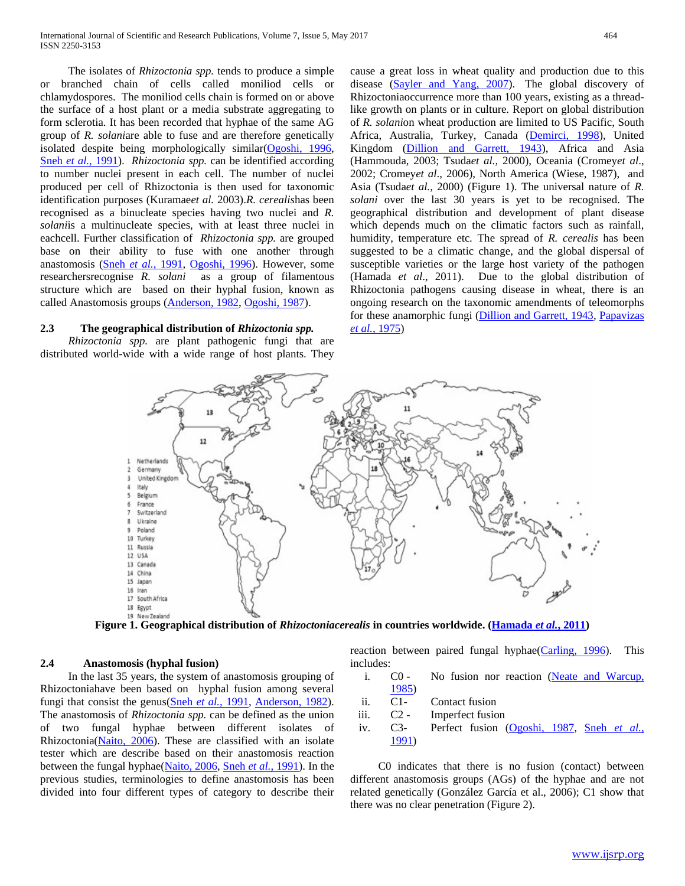The isolates of *Rhizoctonia spp.* tends to produce a simple or branched chain of cells called moniliod cells or chlamydospores. The moniliod cells chain is formed on or above the surface of a host plant or a media substrate aggregating to form sclerotia. It has been recorded that hyphae of the same AG group of *R. solani*are able to fuse and are therefore genetically isolated despite being morphologically similar(Ogoshi, 1996, Sneh *et al.*, 1991). *Rhizoctonia spp.* can be identified according to number nuclei present in each cell. The number of nuclei produced per cell of Rhizoctonia is then used for taxonomic identification purposes (Kuramae*et al.* 2003).*R. cerealis*has been recognised as a binucleate species having two nuclei and *R. solani*is a multinucleate species, with at least three nuclei in eachcell. Further classification of *Rhizoctonia spp.* are grouped base on their ability to fuse with one another through anastomosis (Sneh *et al.*, 1991, Ogoshi, 1996). However, some researchersrecognise *R. solani* as a group of filamentous structure which are based on their hyphal fusion, known as called Anastomosis groups (Anderson, 1982, Ogoshi, 1987).

#### **2.3 The geographical distribution of** *Rhizoctonia spp.*

 *Rhizoctonia spp.* are plant pathogenic fungi that are distributed world-wide with a wide range of host plants. They

cause a great loss in wheat quality and production due to this disease (Sayler and Yang, 2007). The global discovery of Rhizoctoniaoccurrence more than 100 years, existing as a threadlike growth on plants or in culture. Report on global distribution of *R. solani*on wheat production are limited to US Pacific, South Africa, Australia, Turkey, Canada (Demirci, 1998), United Kingdom (Dillion and Garrett, 1943), Africa and Asia (Hammouda, 2003; Tsuda*et al.,* 2000), Oceania (Cromey*et al*., 2002; Cromey*et al*., 2006), North America (Wiese, 1987), and Asia (Tsuda*et al.,* 2000) (Figure 1). The universal nature of *R. solani* over the last 30 years is yet to be recognised. The geographical distribution and development of plant disease which depends much on the climatic factors such as rainfall, humidity, temperature etc*.* The spread of *R. cerealis* has been suggested to be a climatic change, and the global dispersal of susceptible varieties or the large host variety of the pathogen (Hamada *et al*., 2011). Due to the global distribution of Rhizoctonia pathogens causing disease in wheat, there is an ongoing research on the taxonomic amendments of teleomorphs for these anamorphic fungi (Dillion and Garrett, 1943, Papavizas *et al.*, 1975)



**Figure 1. Geographical distribution of** *Rhizoctoniacerealis* **in countries worldwide. (Hamada** *et al.***, 2011)**

# **2.4 Anastomosis (hyphal fusion)**

In the last 35 years, the system of anastomosis grouping of Rhizoctoniahave been based on hyphal fusion among several fungi that consist the genus(Sneh *et al.*, 1991, Anderson, 1982). The anastomosis of *Rhizoctonia spp.* can be defined as the union of two fungal hyphae between different isolates of Rhizoctonia(Naito, 2006). These are classified with an isolate tester which are describe based on their anastomosis reaction between the fungal hyphae(Naito, 2006, Sneh *et al.*, 1991). In the previous studies, terminologies to define anastomosis has been divided into four different types of category to describe their

reaction between paired fungal hyphae(Carling, 1996). This includes:

- i. C0 No fusion nor reaction (Neate and Warcup, 1985)
- ii. C1- Contact fusion
- iii. C2 Imperfect fusion
- iv. C3- Perfect fusion (Ogoshi, 1987, Sneh *et al.*, 1991)

C0 indicates that there is no fusion (contact) between different anastomosis groups (AGs) of the hyphae and are not related genetically (González García et al., 2006); C1 show that there was no clear penetration (Figure 2).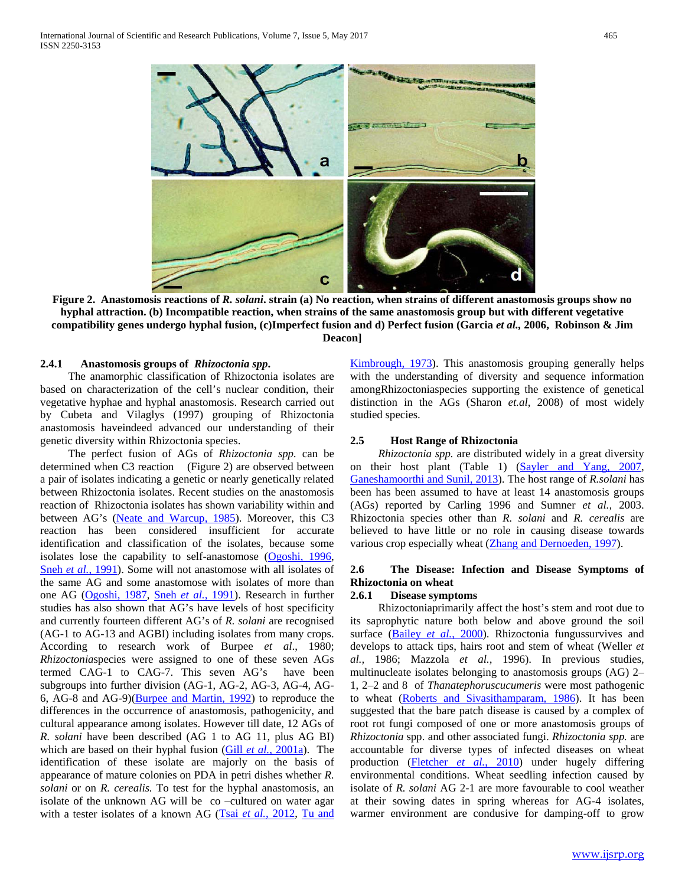

**Figure 2. Anastomosis reactions of** *R. solani***. strain (a) No reaction, when strains of different anastomosis groups show no hyphal attraction. (b) Incompatible reaction, when strains of the same anastomosis group but with different vegetative compatibility genes undergo hyphal fusion, (c)Imperfect fusion and d) Perfect fusion (Garcia** *et al.,* **2006, Robinson & Jim Deacon]**

## **2.4.1 Anastomosis groups of** *Rhizoctonia spp***.**

The anamorphic classification of Rhizoctonia isolates are based on characterization of the cell's nuclear condition, their vegetative hyphae and hyphal anastomosis. Research carried out by Cubeta and Vilaglys (1997) grouping of Rhizoctonia anastomosis haveindeed advanced our understanding of their genetic diversity within Rhizoctonia species.

The perfect fusion of AGs of *Rhizoctonia spp.* can be determined when C3 reaction (Figure 2) are observed between a pair of isolates indicating a genetic or nearly genetically related between Rhizoctonia isolates. Recent studies on the anastomosis reaction of Rhizoctonia isolates has shown variability within and between AG's (Neate and Warcup, 1985). Moreover, this C3 reaction has been considered insufficient for accurate identification and classification of the isolates, because some isolates lose the capability to self-anastomose (Ogoshi, 1996, Sneh *et al.*, 1991). Some will not anastomose with all isolates of the same AG and some anastomose with isolates of more than one AG (Ogoshi, 1987, Sneh *et al.*, 1991). Research in further studies has also shown that AG's have levels of host specificity and currently fourteen different AG's of *R. solani* are recognised (AG-1 to AG-13 and AGBI) including isolates from many crops. According to research work of Burpee *et al*., 1980; *Rhizoctonia*species were assigned to one of these seven AGs termed CAG-1 to CAG-7. This seven AG's have been subgroups into further division (AG-1, AG-2, AG-3, AG-4, AG-6, AG-8 and AG-9)(Burpee and Martin, 1992) to reproduce the differences in the occurrence of anastomosis, pathogenicity, and cultural appearance among isolates. However till date, 12 AGs of *R. solani* have been described (AG 1 to AG 11, plus AG BI) which are based on their hyphal fusion (Gill *et al.*, 2001a). The identification of these isolate are majorly on the basis of appearance of mature colonies on PDA in petri dishes whether *R. solani* or on *R. cerealis.* To test for the hyphal anastomosis, an isolate of the unknown AG will be co –cultured on water agar with a tester isolates of a known AG (Tsai et al., 2012, Tu and Kimbrough, 1973). This anastomosis grouping generally helps with the understanding of diversity and sequence information amongRhizoctoniaspecies supporting the existence of genetical distinction in the AGs (Sharon *et.al*, 2008) of most widely studied species.

#### **2.5 Host Range of Rhizoctonia**

 *Rhizoctonia spp.* are distributed widely in a great diversity on their host plant (Table 1) (Sayler and Yang, 2007, Ganeshamoorthi and Sunil, 2013). The host range of *R.solani* has been has been assumed to have at least 14 anastomosis groups (AGs) reported by Carling 1996 and Sumner *et al.,* 2003. Rhizoctonia species other than *R. solani* and *R. cerealis* are believed to have little or no role in causing disease towards various crop especially wheat (Zhang and Dernoeden, 1997).

# **2.6 The Disease: Infection and Disease Symptoms of Rhizoctonia on wheat**

#### **2.6.1 Disease symptoms**

Rhizoctoniaprimarily affect the host's stem and root due to its saprophytic nature both below and above ground the soil surface (Bailey et al., 2000). Rhizoctonia fungussurvives and develops to attack tips, hairs root and stem of wheat (Weller *et al.,* 1986; Mazzola *et al.,* 1996). In previous studies, multinucleate isolates belonging to anastomosis groups (AG) 2– 1, 2–2 and 8 of *Thanatephoruscucumeris* were most pathogenic to wheat (Roberts and Sivasithamparam, 1986). It has been suggested that the bare patch disease is caused by a complex of root rot fungi composed of one or more anastomosis groups of *Rhizoctonia* spp. and other associated fungi. *Rhizoctonia spp.* are accountable for diverse types of infected diseases on wheat production (Fletcher *et al.*, 2010) under hugely differing environmental conditions. Wheat seedling infection caused by isolate of *R. solani* AG 2-1 are more favourable to cool weather at their sowing dates in spring whereas for AG-4 isolates, warmer environment are condusive for damping-off to grow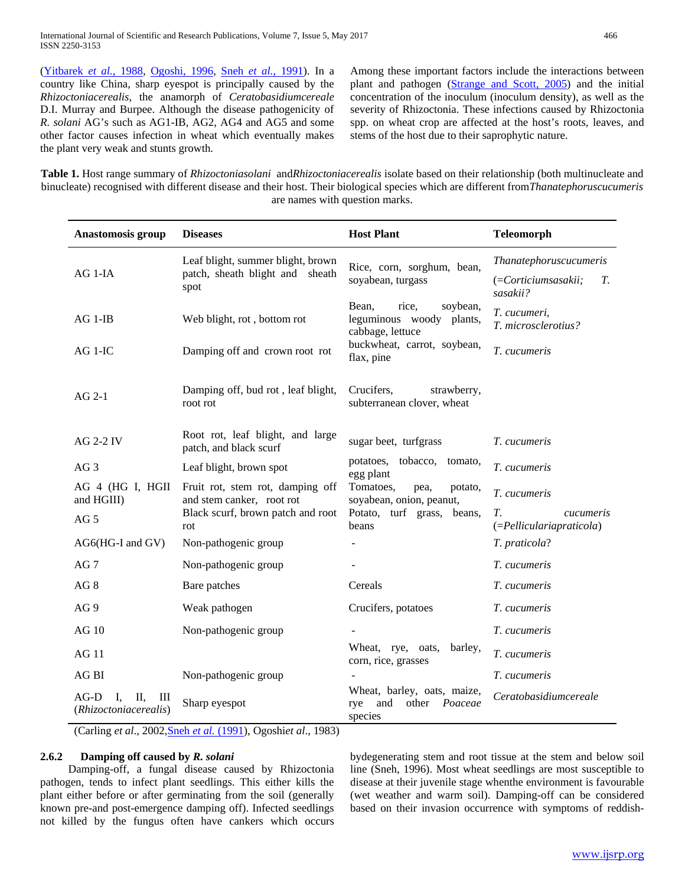(Yitbarek *et al.*, 1988, Ogoshi, 1996, Sneh *et al.*, 1991). In a country like China, sharp eyespot is principally caused by the *Rhizoctoniacerealis*, the anamorph of *Ceratobasidiumcereale* D.I. Murray and Burpee. Although the disease pathogenicity of *R. solani* AG's such as AG1-IB, AG2, AG4 and AG5 and some other factor causes infection in wheat which eventually makes the plant very weak and stunts growth.

Among these important factors include the interactions between plant and pathogen (Strange and Scott, 2005) and the initial concentration of the inoculum (inoculum density), as well as the severity of Rhizoctonia. These infections caused by Rhizoctonia spp. on wheat crop are affected at the host's roots, leaves, and stems of the host due to their saprophytic nature.

**Table 1.** Host range summary of *Rhizoctoniasolani* and*Rhizoctoniacerealis* isolate based on their relationship (both multinucleate and binucleate) recognised with different disease and their host. Their biological species which are different from*Thanatephoruscucumeris* are names with question marks.

| Anastomosis group                                          | <b>Diseases</b>                                                                                    | <b>Host Plant</b>                                                                         | <b>Teleomorph</b>                                               |
|------------------------------------------------------------|----------------------------------------------------------------------------------------------------|-------------------------------------------------------------------------------------------|-----------------------------------------------------------------|
| AG 1-IA                                                    | Leaf blight, summer blight, brown<br>patch, sheath blight and sheath<br>spot                       | Rice, corn, sorghum, bean,<br>soyabean, turgass                                           | Thanatephoruscucumeris<br>(=Corticiumsasakii;<br>Т.<br>sasakii? |
| $AG 1-IB$                                                  | Web blight, rot, bottom rot                                                                        | Bean,<br>rice,<br>soybean,<br>leguminous woody plants,<br>cabbage, lettuce                | T. cucumeri,<br>T. microsclerotius?                             |
| $AG 1-IC$                                                  | Damping off and crown root rot                                                                     | buckwheat, carrot, soybean,<br>flax, pine                                                 | T. cucumeris                                                    |
| $AG 2-1$                                                   | Damping off, bud rot, leaf blight,<br>root rot                                                     | Crucifers,<br>strawberry,<br>subterranean clover, wheat                                   |                                                                 |
| <b>AG 2-2 IV</b>                                           | Root rot, leaf blight, and large<br>patch, and black scurf                                         | sugar beet, turfgrass                                                                     | T. cucumeris                                                    |
| AG <sub>3</sub>                                            | Leaf blight, brown spot                                                                            | potatoes, tobacco,<br>tomato,<br>egg plant                                                | T. cucumeris                                                    |
| AG 4 (HG I, HGII<br>and HGIII)                             | Fruit rot, stem rot, damping off<br>and stem canker, root rot<br>Black scurf, brown patch and root | Tomatoes,<br>pea,<br>potato,<br>soyabean, onion, peanut,<br>Potato, turf grass,<br>beans, | T. cucumeris<br>T.<br><i>cucumeris</i>                          |
| AG <sub>5</sub>                                            | rot                                                                                                | beans                                                                                     | (=Pelliculariapraticola)                                        |
| AG6(HG-I and GV)                                           | Non-pathogenic group                                                                               |                                                                                           | T. praticola?                                                   |
| AG <sub>7</sub>                                            | Non-pathogenic group                                                                               |                                                                                           | T. cucumeris                                                    |
| AG <sub>8</sub>                                            | Bare patches                                                                                       | Cereals                                                                                   | T. cucumeris                                                    |
| AG 9                                                       | Weak pathogen                                                                                      | Crucifers, potatoes                                                                       | T. cucumeris                                                    |
| <b>AG 10</b>                                               | Non-pathogenic group                                                                               |                                                                                           | T. cucumeris                                                    |
| <b>AG 11</b>                                               |                                                                                                    | Wheat, rye, oats,<br>barley,<br>corn, rice, grasses                                       | T. cucumeris                                                    |
| AG <sub>BI</sub>                                           | Non-pathogenic group                                                                               |                                                                                           | T. cucumeris                                                    |
| $AG-D$<br>П,<br>Ш<br>$\mathbf{I}$<br>(Rhizoctoniacerealis) | Sharp eyespot                                                                                      | Wheat, barley, oats, maize,<br>other<br>and<br>Poaceae<br>rye<br>species                  | Ceratobasidiumcereale                                           |

(Carling *et al*., 2002,Sneh *et al.* (1991), Ogoshi*et al*., 1983)

# **2.6.2 Damping off caused by** *R. solani*

Damping-off, a fungal disease caused by Rhizoctonia pathogen, tends to infect plant seedlings. This either kills the plant either before or after germinating from the soil (generally known pre-and post-emergence damping off). Infected seedlings not killed by the fungus often have cankers which occurs

bydegenerating stem and root tissue at the stem and below soil line (Sneh, 1996). Most wheat seedlings are most susceptible to disease at their juvenile stage whenthe environment is favourable (wet weather and warm soil). Damping-off can be considered based on their invasion occurrence with symptoms of reddish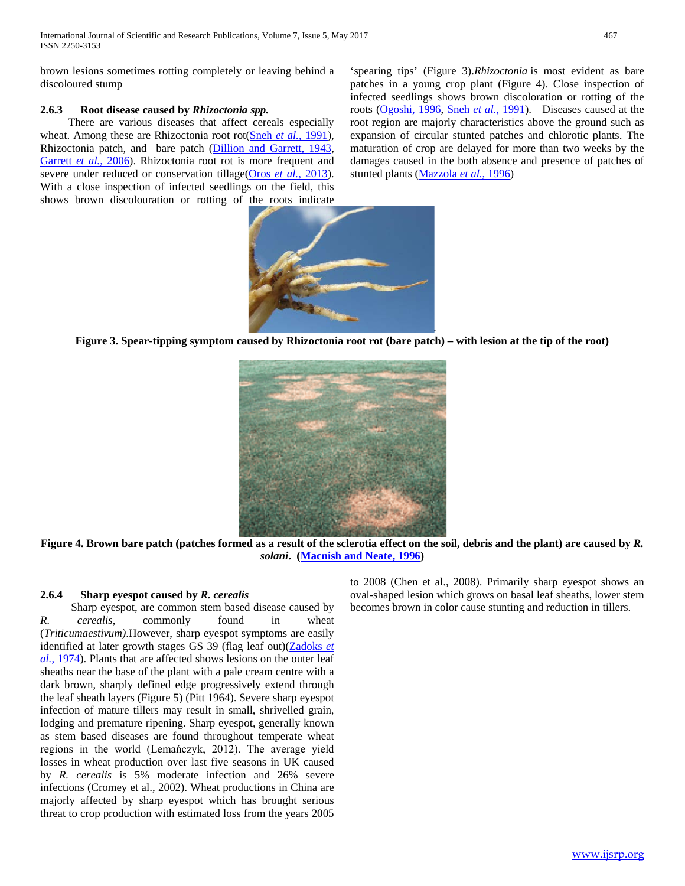brown lesions sometimes rotting completely or leaving behind a discoloured stump

# **2.6.3 Root disease caused by** *Rhizoctonia spp.*

There are various diseases that affect cereals especially wheat. Among these are Rhizoctonia root rot(Sneh *et al.*, 1991), Rhizoctonia patch, and bare patch (Dillion and Garrett, 1943, Garrett *et al.*, 2006). Rhizoctonia root rot is more frequent and severe under reduced or conservation tillage(Oros *et al.*, 2013). With a close inspection of infected seedlings on the field, this shows brown discolouration or rotting of the roots indicate

'spearing tips' (Figure 3).*Rhizoctonia* is most evident as bare patches in a young crop plant (Figure 4). Close inspection of infected seedlings shows brown discoloration or rotting of the roots (Ogoshi, 1996, Sneh *et al.*, 1991). Diseases caused at the root region are majorly characteristics above the ground such as expansion of circular stunted patches and chlorotic plants. The maturation of crop are delayed for more than two weeks by the damages caused in the both absence and presence of patches of stunted plants (Mazzola *et al.*, 1996)



**Figure 3. Spear-tipping symptom caused by Rhizoctonia root rot (bare patch) – with lesion at the tip of the root)**



**Figure 4. Brown bare patch (patches formed as a result of the sclerotia effect on the soil, debris and the plant) are caused by** *R. solani***. (Macnish and Neate, 1996)**

## **2.6.4 Sharp eyespot caused by** *R. cerealis*

Sharp eyespot, are common stem based disease caused by *R. cerealis*, commonly found in wheat (*Triticumaestivum)*.However, sharp eyespot symptoms are easily identified at later growth stages GS 39 (flag leaf out)(Zadoks *et al.*, 1974). Plants that are affected shows lesions on the outer leaf sheaths near the base of the plant with a pale cream centre with a dark brown, sharply defined edge progressively extend through the leaf sheath layers (Figure 5) (Pitt 1964). Severe sharp eyespot infection of mature tillers may result in small, shrivelled grain, lodging and premature ripening. Sharp eyespot, generally known as stem based diseases are found throughout temperate wheat regions in the world (Lemańczyk, 2012). The average yield losses in wheat production over last five seasons in UK caused by *R. cerealis* is 5% moderate infection and 26% severe infections (Cromey et al., 2002). Wheat productions in China are majorly affected by sharp eyespot which has brought serious threat to crop production with estimated loss from the years 2005 to 2008 (Chen et al., 2008). Primarily sharp eyespot shows an oval-shaped lesion which grows on basal leaf sheaths, lower stem becomes brown in color cause stunting and reduction in tillers.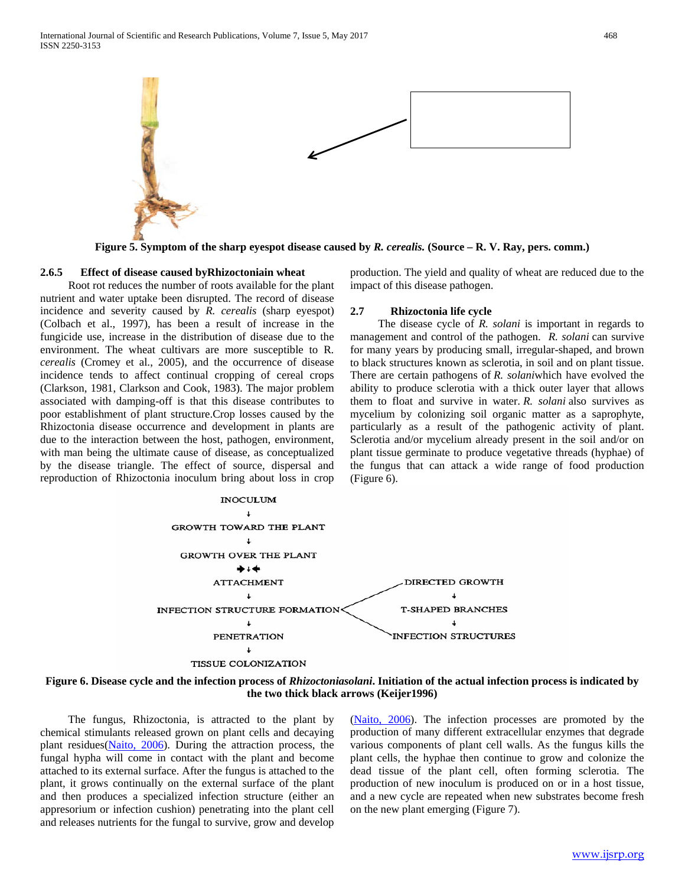

**Figure 5. Symptom of the sharp eyespot disease caused by** *R. cerealis.* **(Source – R. V. Ray, pers. comm.)**

#### **2.6.5 Effect of disease caused byRhizoctoniain wheat**

Root rot reduces the number of roots available for the plant nutrient and water uptake been disrupted. The record of disease incidence and severity caused by *R. cerealis* (sharp eyespot) (Colbach et al., 1997), has been a result of increase in the fungicide use, increase in the distribution of disease due to the environment. The wheat cultivars are more susceptible to R*. cerealis* (Cromey et al., 2005), and the occurrence of disease incidence tends to affect continual cropping of cereal crops (Clarkson, 1981, Clarkson and Cook, 1983). The major problem associated with damping-off is that this disease contributes to poor establishment of plant structure.Crop losses caused by the Rhizoctonia disease occurrence and development in plants are due to the interaction between the host, pathogen, environment, with man being the ultimate cause of disease, as conceptualized by the disease triangle. The effect of source, dispersal and reproduction of Rhizoctonia inoculum bring about loss in crop production. The yield and quality of wheat are reduced due to the impact of this disease pathogen.

#### **2.7 Rhizoctonia life cycle**

The disease cycle of *R. solani* is important in regards to management and control of the pathogen. *R. solani* can survive for many years by producing small, irregular-shaped, and brown to black structures known as sclerotia, in soil and on plant tissue. There are certain pathogens of *R. solani*which have evolved the ability to produce sclerotia with a thick outer layer that allows them to float and survive in water. *R. solani* also survives as mycelium by colonizing soil organic matter as a saprophyte, particularly as a result of the pathogenic activity of plant. Sclerotia and/or mycelium already present in the soil and/or on plant tissue germinate to produce vegetative threads (hyphae) of the fungus that can attack a wide range of food production (Figure 6).



#### **Figure 6. Disease cycle and the infection process of** *Rhizoctoniasolani***. Initiation of the actual infection process is indicated by the two thick black arrows (Keijer1996)**

The fungus, Rhizoctonia, is attracted to the plant by chemical stimulants released grown on plant cells and decaying plant residues(Naito, 2006). During the attraction process, the fungal hypha will come in contact with the plant and become attached to its external surface. After the fungus is attached to the plant, it grows continually on the external surface of the plant and then produces a specialized infection structure (either an appresorium or infection cushion) penetrating into the plant cell and releases nutrients for the fungal to survive, grow and develop

(Naito, 2006). The infection processes are promoted by the production of many different extracellular enzymes that degrade various components of plant cell walls. As the fungus kills the plant cells, the hyphae then continue to grow and colonize the dead tissue of the plant cell, often forming sclerotia. The production of new inoculum is produced on or in a host tissue, and a new cycle are repeated when new substrates become fresh on the new plant emerging (Figure 7).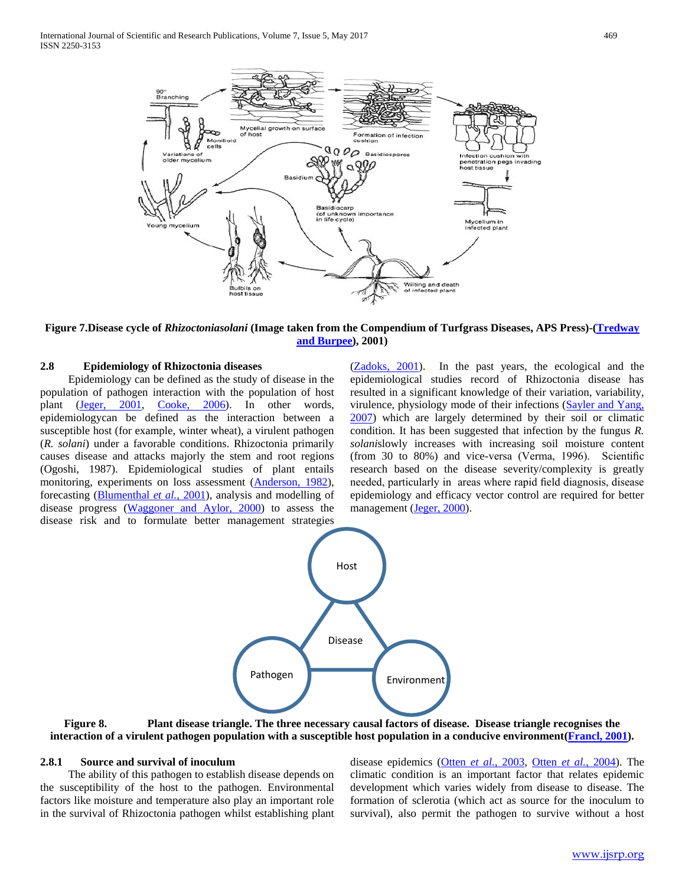

**Figure 7.Disease cycle of** *Rhizoctoniasolani* **(Image taken from the Compendium of Turfgrass Diseases, APS Press)-(Tredway and Burpee), 2001)**

#### **2.8 Epidemiology of Rhizoctonia diseases**

Epidemiology can be defined as the study of disease in the population of pathogen interaction with the population of host plant (Jeger, 2001, Cooke, 2006). In other words, epidemiologycan be defined as the interaction between a susceptible host (for example, winter wheat), a virulent pathogen (*R. solani*) under a favorable conditions. Rhizoctonia primarily causes disease and attacks majorly the stem and root regions (Ogoshi, 1987). Epidemiological studies of plant entails monitoring, experiments on loss assessment (Anderson, 1982), forecasting (Blumenthal *et al.*, 2001), analysis and modelling of disease progress (Waggoner and Aylor, 2000) to assess the disease risk and to formulate better management strategies

(Zadoks, 2001). In the past years, the ecological and the epidemiological studies record of Rhizoctonia disease has resulted in a significant knowledge of their variation, variability, virulence, physiology mode of their infections (Sayler and Yang, 2007) which are largely determined by their soil or climatic condition. It has been suggested that infection by the fungus *R. solani*slowly increases with increasing soil moisture content (from 30 to 80%) and vice-versa (Verma, 1996). Scientific research based on the disease severity/complexity is greatly needed, particularly in areas where rapid field diagnosis, disease epidemiology and efficacy vector control are required for better management (Jeger, 2000).



# **Figure 8. Plant disease triangle. The three necessary causal factors of disease. Disease triangle recognises the interaction of a virulent pathogen population with a susceptible host population in a conducive environment(Francl, 2001).**

#### **2.8.1 Source and survival of inoculum**

The ability of this pathogen to establish disease depends on the susceptibility of the host to the pathogen. Environmental factors like moisture and temperature also play an important role in the survival of Rhizoctonia pathogen whilst establishing plant

disease epidemics (Otten *et al.*, 2003, Otten *et al.*, 2004). The climatic condition is an important factor that relates epidemic development which varies widely from disease to disease. The formation of sclerotia (which act as source for the inoculum to survival), also permit the pathogen to survive without a host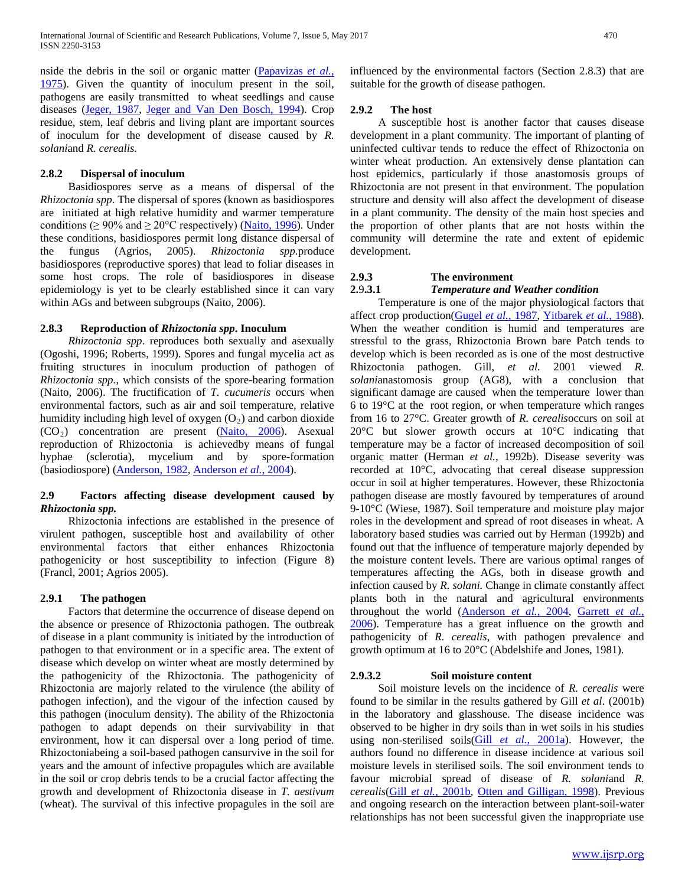nside the debris in the soil or organic matter (Papavizas *et al.*, 1975). Given the quantity of inoculum present in the soil, pathogens are easily transmitted to wheat seedlings and cause diseases (Jeger, 1987, Jeger and Van Den Bosch, 1994). Crop residue, stem, leaf debris and living plant are important sources of inoculum for the development of disease caused by *R. solani*and *R. cerealis.* 

#### **2.8.2 Dispersal of inoculum**

Basidiospores serve as a means of dispersal of the *Rhizoctonia spp*. The dispersal of spores (known as basidiospores are initiated at high relative humidity and warmer temperature conditions ( $\geq 90\%$  and  $\geq 20^{\circ}$ C respectively) (Naito, 1996). Under these conditions, basidiospores permit long distance dispersal of the fungus (Agrios, 2005). *Rhizoctonia spp.*produce basidiospores (reproductive spores) that lead to foliar diseases in some host crops. The role of basidiospores in disease epidemiology is yet to be clearly established since it can vary within AGs and between subgroups (Naito, 2006).

## **2.8.3 Reproduction of** *Rhizoctonia spp***. Inoculum**

 *Rhizoctonia spp*. reproduces both sexually and asexually (Ogoshi, 1996; Roberts, 1999). Spores and fungal mycelia act as fruiting structures in inoculum production of pathogen of *Rhizoctonia spp.*, which consists of the spore-bearing formation (Naito, 2006). The fructification of *T. cucumeris* occurs when environmental factors, such as air and soil temperature, relative humidity including high level of oxygen  $(O_2)$  and carbon dioxide  $(CO<sub>2</sub>)$  concentration are present  $(Naito, 2006)$ . Asexual reproduction of Rhizoctonia is achievedby means of fungal hyphae (sclerotia), mycelium and by spore-formation (basiodiospore) (Anderson, 1982, Anderson *et al.*, 2004).

# **2.9 Factors affecting disease development caused by**  *Rhizoctonia spp.*

Rhizoctonia infections are established in the presence of virulent pathogen, susceptible host and availability of other environmental factors that either enhances Rhizoctonia pathogenicity or host susceptibility to infection (Figure 8) (Francl, 2001; Agrios 2005).

## **2.9.1 The pathogen**

Factors that determine the occurrence of disease depend on the absence or presence of Rhizoctonia pathogen. The outbreak of disease in a plant community is initiated by the introduction of pathogen to that environment or in a specific area. The extent of disease which develop on winter wheat are mostly determined by the pathogenicity of the Rhizoctonia. The pathogenicity of Rhizoctonia are majorly related to the virulence (the ability of pathogen infection), and the vigour of the infection caused by this pathogen (inoculum density). The ability of the Rhizoctonia pathogen to adapt depends on their survivability in that environment, how it can dispersal over a long period of time. Rhizoctoniabeing a soil-based pathogen cansurvive in the soil for years and the amount of infective propagules which are available in the soil or crop debris tends to be a crucial factor affecting the growth and development of Rhizoctonia disease in *T. aestivum* (wheat). The survival of this infective propagules in the soil are

influenced by the environmental factors (Section 2.8.3) that are suitable for the growth of disease pathogen.

#### **2.9.2 The host**

A susceptible host is another factor that causes disease development in a plant community. The important of planting of uninfected cultivar tends to reduce the effect of Rhizoctonia on winter wheat production. An extensively dense plantation can host epidemics, particularly if those anastomosis groups of Rhizoctonia are not present in that environment. The population structure and density will also affect the development of disease in a plant community. The density of the main host species and the proportion of other plants that are not hosts within the community will determine the rate and extent of epidemic development.

#### **2.9.3 The environment**

#### **2.**9**.3.1** *Temperature and Weather condition*

Temperature is one of the major physiological factors that affect crop production(Gugel *et al.*, 1987, Yitbarek *et al.*, 1988). When the weather condition is humid and temperatures are stressful to the grass, Rhizoctonia Brown bare Patch tends to develop which is been recorded as is one of the most destructive Rhizoctonia pathogen. Gill, *et al.* 2001 viewed *R. solani*anastomosis group (AG8), with a conclusion that significant damage are caused when the temperature lower than 6 to 19°C at the root region, or when temperature which ranges from 16 to 27°C. Greater growth of *R. cerealis*occurs on soil at 20°C but slower growth occurs at 10°C indicating that temperature may be a factor of increased decomposition of soil organic matter (Herman *et al.,* 1992b). Disease severity was recorded at 10°C, advocating that cereal disease suppression occur in soil at higher temperatures. However, these Rhizoctonia pathogen disease are mostly favoured by temperatures of around 9-10°C (Wiese, 1987). Soil temperature and moisture play major roles in the development and spread of root diseases in wheat. A laboratory based studies was carried out by Herman (1992b) and found out that the influence of temperature majorly depended by the moisture content levels. There are various optimal ranges of temperatures affecting the AGs, both in disease growth and infection caused by *R. solani*. Change in climate constantly affect plants both in the natural and agricultural environments throughout the world (Anderson *et al.*, 2004, Garrett *et al.*, 2006). Temperature has a great influence on the growth and pathogenicity of *R. cerealis*, with pathogen prevalence and growth optimum at 16 to 20°C (Abdelshife and Jones, 1981).

#### **2.9.3.2 Soil moisture content**

Soil moisture levels on the incidence of *R. cerealis* were found to be similar in the results gathered by Gill *et al*. (2001b) in the laboratory and glasshouse. The disease incidence was observed to be higher in dry soils than in wet soils in his studies using non-sterilised soils(Gill *et al.*, 2001a). However, the authors found no difference in disease incidence at various soil moisture levels in sterilised soils. The soil environment tends to favour microbial spread of disease of *R. solani*and *R. cerealis*(Gill *et al.*, 2001b, Otten and Gilligan, 1998). Previous and ongoing research on the interaction between plant-soil-water relationships has not been successful given the inappropriate use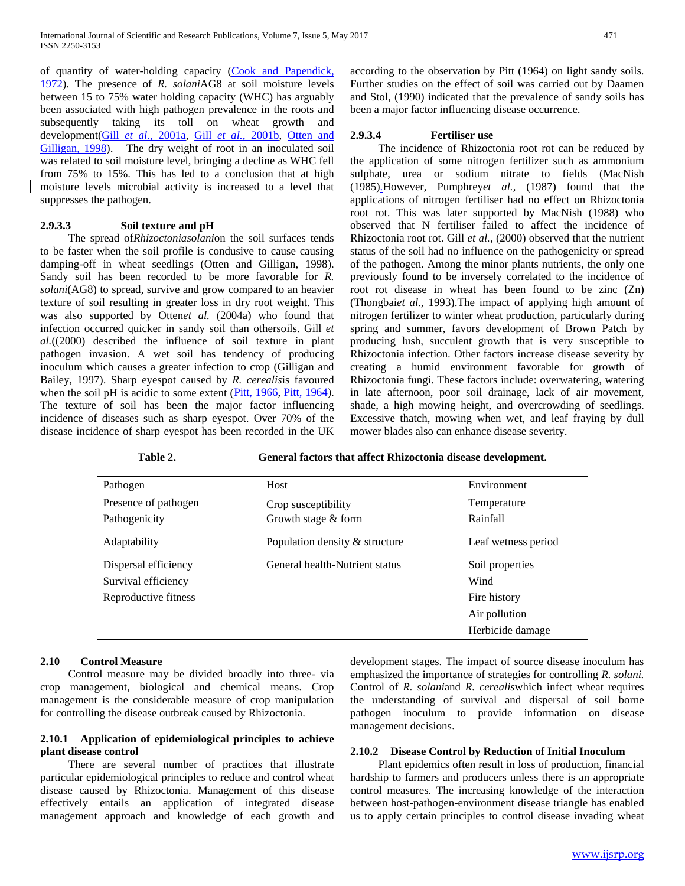of quantity of water-holding capacity (Cook and Papendick, 1972). The presence of *R. solani*AG8 at soil moisture levels between 15 to 75% water holding capacity (WHC) has arguably been associated with high pathogen prevalence in the roots and subsequently taking its toll on wheat growth and development(Gill *et al.*, 2001a, Gill *et al.*, 2001b, Otten and Gilligan, 1998). The dry weight of root in an inoculated soil was related to soil moisture level, bringing a decline as WHC fell from 75% to 15%. This has led to a conclusion that at high moisture levels microbial activity is increased to a level that suppresses the pathogen.

#### **2.9.3.3 Soil texture and pH**

The spread of*Rhizoctoniasolani*on the soil surfaces tends to be faster when the soil profile is condusive to cause causing damping-off in wheat seedlings (Otten and Gilligan, 1998). Sandy soil has been recorded to be more favorable for *R. solani*(AG8) to spread, survive and grow compared to an heavier texture of soil resulting in greater loss in dry root weight. This was also supported by Otten*et al.* (2004a) who found that infection occurred quicker in sandy soil than othersoils. Gill *et al.*((2000) described the influence of soil texture in plant pathogen invasion. A wet soil has tendency of producing inoculum which causes a greater infection to crop (Gilligan and Bailey, 1997). Sharp eyespot caused by *R. cerealis*is favoured when the soil pH is acidic to some extent (Pitt, 1966, Pitt, 1964). The texture of soil has been the major factor influencing incidence of diseases such as sharp eyespot. Over 70% of the disease incidence of sharp eyespot has been recorded in the UK according to the observation by Pitt (1964) on light sandy soils. Further studies on the effect of soil was carried out by Daamen and Stol, (1990) indicated that the prevalence of sandy soils has been a major factor influencing disease occurrence.

## **2.9.3.4 Fertiliser use**

The incidence of Rhizoctonia root rot can be reduced by the application of some nitrogen fertilizer such as ammonium sulphate, urea or sodium nitrate to fields (MacNish (1985).However, Pumphrey*et al.,* (1987) found that the applications of nitrogen fertiliser had no effect on Rhizoctonia root rot. This was later supported by MacNish (1988) who observed that N fertiliser failed to affect the incidence of Rhizoctonia root rot. Gill *et al.,* (2000) observed that the nutrient status of the soil had no influence on the pathogenicity or spread of the pathogen. Among the minor plants nutrients, the only one previously found to be inversely correlated to the incidence of root rot disease in wheat has been found to be zinc (Zn) (Thongbai*et al.,* 1993).The impact of applying high amount of nitrogen fertilizer to winter wheat production, particularly during spring and summer, favors development of Brown Patch by producing lush, succulent growth that is very susceptible to Rhizoctonia infection. Other factors increase disease severity by creating a humid environment favorable for growth of Rhizoctonia fungi. These factors include: overwatering, watering in late afternoon, poor soil drainage, lack of air movement, shade, a high mowing height, and overcrowding of seedlings. Excessive thatch, mowing when wet, and leaf fraying by dull mower blades also can enhance disease severity.

**Table 2. General factors that affect Rhizoctonia disease development.**

| Pathogen             | Host                           | Environment         |
|----------------------|--------------------------------|---------------------|
| Presence of pathogen | Crop susceptibility            | Temperature         |
| Pathogenicity        | Growth stage $&$ form          | Rainfall            |
| Adaptability         | Population density & structure | Leaf wetness period |
| Dispersal efficiency | General health-Nutrient status | Soil properties     |
| Survival efficiency  |                                | Wind                |
| Reproductive fitness |                                | Fire history        |
|                      |                                | Air pollution       |
|                      |                                | Herbicide damage    |

## **2.10 Control Measure**

Control measure may be divided broadly into three- via crop management, biological and chemical means. Crop management is the considerable measure of crop manipulation for controlling the disease outbreak caused by Rhizoctonia.

## **2.10.1 Application of epidemiological principles to achieve plant disease control**

There are several number of practices that illustrate particular epidemiological principles to reduce and control wheat disease caused by Rhizoctonia. Management of this disease effectively entails an application of integrated disease management approach and knowledge of each growth and

development stages. The impact of source disease inoculum has emphasized the importance of strategies for controlling *R. solani.*  Control of *R. solani*and *R. cerealis*which infect wheat requires the understanding of survival and dispersal of soil borne pathogen inoculum to provide information on disease management decisions.

## **2.10.2 Disease Control by Reduction of Initial Inoculum**

Plant epidemics often result in loss of production, financial hardship to farmers and producers unless there is an appropriate control measures. The increasing knowledge of the interaction between host-pathogen-environment disease triangle has enabled us to apply certain principles to control disease invading wheat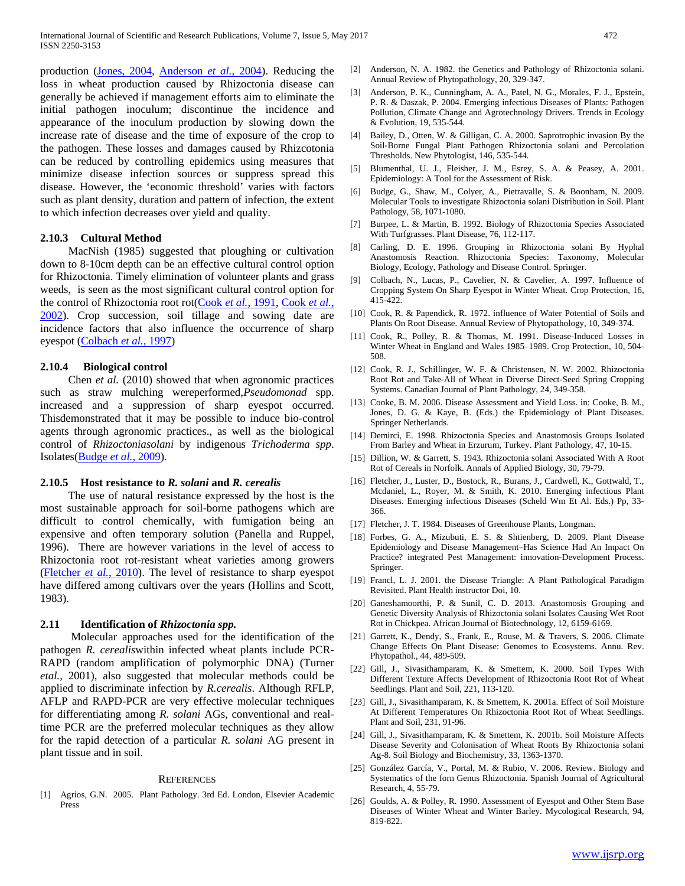production (Jones, 2004, Anderson *et al.*, 2004). Reducing the loss in wheat production caused by Rhizoctonia disease can generally be achieved if management efforts aim to eliminate the initial pathogen inoculum; discontinue the incidence and appearance of the inoculum production by slowing down the increase rate of disease and the time of exposure of the crop to the pathogen. These losses and damages caused by Rhizcotonia can be reduced by controlling epidemics using measures that minimize disease infection sources or suppress spread this disease. However, the 'economic threshold' varies with factors such as plant density, duration and pattern of infection, the extent to which infection decreases over yield and quality.

#### **2.10.3 Cultural Method**

MacNish (1985) suggested that ploughing or cultivation down to 8-10cm depth can be an effective cultural control option for Rhizoctonia. Timely elimination of volunteer plants and grass weeds, is seen as the most significant cultural control option for the control of Rhizoctonia root rot(Cook *et al.*, 1991, Cook *et al.*, 2002). Crop succession, soil tillage and sowing date are incidence factors that also influence the occurrence of sharp eyespot (Colbach *et al.*, 1997)

#### **2.10.4 Biological control**

Chen *et al.* (2010) showed that when agronomic practices such as straw mulching wereperformed,*Pseudomonad* spp. increased and a suppression of sharp eyespot occurred. Thisdemonstrated that it may be possible to induce bio-control agents through agronomic practices., as well as the biological control of *Rhizoctoniasolani* by indigenous *Trichoderma spp*. Isolates(Budge *et al.*, 2009).

#### **2.10.5 Host resistance to** *R. solani* **and** *R. cerealis*

The use of natural resistance expressed by the host is the most sustainable approach for soil-borne pathogens which are difficult to control chemically, with fumigation being an expensive and often temporary solution (Panella and Ruppel, 1996). There are however variations in the level of access to Rhizoctonia root rot-resistant wheat varieties among growers (Fletcher *et al.*, 2010). The level of resistance to sharp eyespot have differed among cultivars over the years (Hollins and Scott, 1983).

#### **2.11 Identification of** *Rhizoctonia spp.*

Molecular approaches used for the identification of the pathogen *R. cerealis*within infected wheat plants include PCR-RAPD (random amplification of polymorphic DNA) (Turner *etal.,* 2001), also suggested that molecular methods could be applied to discriminate infection by *R.cerealis*. Although RFLP, AFLP and RAPD-PCR are very effective molecular techniques for differentiating among *R. solani* AGs, conventional and realtime PCR are the preferred molecular techniques as they allow for the rapid detection of a particular *R. solani* AG present in plant tissue and in soil.

#### **REFERENCES**

[1] Agrios, G.N. 2005. Plant Pathology. 3rd Ed. London, Elsevier Academic Press

- [2] Anderson, N. A. 1982. the Genetics and Pathology of Rhizoctonia solani. Annual Review of Phytopathology, 20, 329-347.
- [3] Anderson, P. K., Cunningham, A. A., Patel, N. G., Morales, F. J., Epstein, P. R. & Daszak, P. 2004. Emerging infectious Diseases of Plants: Pathogen Pollution, Climate Change and Agrotechnology Drivers. Trends in Ecology & Evolution, 19, 535-544.
- [4] Bailey, D., Otten, W. & Gilligan, C. A. 2000. Saprotrophic invasion By the Soil‐Borne Fungal Plant Pathogen Rhizoctonia solani and Percolation Thresholds. New Phytologist, 146, 535-544.
- [5] Blumenthal, U. J., Fleisher, J. M., Esrey, S. A. & Peasey, A. 2001. Epidemiology: A Tool for the Assessment of Risk.
- [6] Budge, G., Shaw, M., Colyer, A., Pietravalle, S. & Boonham, N. 2009. Molecular Tools to investigate Rhizoctonia solani Distribution in Soil. Plant Pathology, 58, 1071-1080.
- [7] Burpee, L. & Martin, B. 1992. Biology of Rhizoctonia Species Associated With Turfgrasses. Plant Disease, 76, 112-117.
- [8] Carling, D. E. 1996. Grouping in Rhizoctonia solani By Hyphal Anastomosis Reaction. Rhizoctonia Species: Taxonomy, Molecular Biology, Ecology, Pathology and Disease Control. Springer.
- [9] Colbach, N., Lucas, P., Cavelier, N. & Cavelier, A. 1997. Influence of Cropping System On Sharp Eyespot in Winter Wheat. Crop Protection, 16, 415-422.
- [10] Cook, R. & Papendick, R. 1972. influence of Water Potential of Soils and Plants On Root Disease. Annual Review of Phytopathology, 10, 349-374.
- [11] Cook, R., Polley, R. & Thomas, M. 1991. Disease-Induced Losses in Winter Wheat in England and Wales 1985–1989. Crop Protection, 10, 504- 508.
- [12] Cook, R. J., Schillinger, W. F. & Christensen, N. W. 2002. Rhizoctonia Root Rot and Take-All of Wheat in Diverse Direct-Seed Spring Cropping Systems. Canadian Journal of Plant Pathology, 24, 349-358.
- [13] Cooke, B. M. 2006. Disease Assessment and Yield Loss. in: Cooke, B. M., Jones, D. G. & Kaye, B. (Eds.) the Epidemiology of Plant Diseases. Springer Netherlands.
- [14] Demirci, E. 1998. Rhizoctonia Species and Anastomosis Groups Isolated From Barley and Wheat in Erzurum, Turkey. Plant Pathology, 47, 10-15.
- [15] Dillion, W. & Garrett, S. 1943. Rhizoctonia solani Associated With A Root Rot of Cereals in Norfolk. Annals of Applied Biology, 30, 79-79.
- [16] Fletcher, J., Luster, D., Bostock, R., Burans, J., Cardwell, K., Gottwald, T., Mcdaniel, L., Royer, M. & Smith, K. 2010. Emerging infectious Plant Diseases. Emerging infectious Diseases (Scheld Wm Et Al. Eds.) Pp, 33- 366.
- [17] Fletcher, J. T. 1984. Diseases of Greenhouse Plants, Longman.
- [18] Forbes, G. A., Mizubuti, E. S. & Shtienberg, D. 2009. Plant Disease Epidemiology and Disease Management–Has Science Had An Impact On Practice? integrated Pest Management: innovation-Development Process. Springer.
- [19] Francl, L. J. 2001. the Disease Triangle: A Plant Pathological Paradigm Revisited. Plant Health instructor Doi, 10.
- [20] Ganeshamoorthi, P. & Sunil, C. D. 2013. Anastomosis Grouping and Genetic Diversity Analysis of Rhizoctonia solani Isolates Causing Wet Root Rot in Chickpea. African Journal of Biotechnology, 12, 6159-6169.
- [21] Garrett, K., Dendy, S., Frank, E., Rouse, M. & Travers, S. 2006. Climate Change Effects On Plant Disease: Genomes to Ecosystems. Annu. Rev. Phytopathol., 44, 489-509.
- [22] Gill, J., Sivasithamparam, K. & Smettem, K. 2000. Soil Types With Different Texture Affects Development of Rhizoctonia Root Rot of Wheat Seedlings. Plant and Soil, 221, 113-120.
- [23] Gill, J., Sivasithamparam, K. & Smettem, K. 2001a. Effect of Soil Moisture At Different Temperatures On Rhizoctonia Root Rot of Wheat Seedlings. Plant and Soil, 231, 91-96.
- [24] Gill, J., Sivasithamparam, K. & Smettem, K. 2001b. Soil Moisture Affects Disease Severity and Colonisation of Wheat Roots By Rhizoctonia solani Ag-8. Soil Biology and Biochemistry, 33, 1363-1370.
- [25] González García, V., Portal, M. & Rubio, V. 2006. Review. Biology and Systematics of the forn Genus Rhizoctonia. Spanish Journal of Agricultural Research, 4, 55-79.
- [26] Goulds, A. & Polley, R. 1990. Assessment of Eyespot and Other Stem Base Diseases of Winter Wheat and Winter Barley. Mycological Research, 94, 819-822.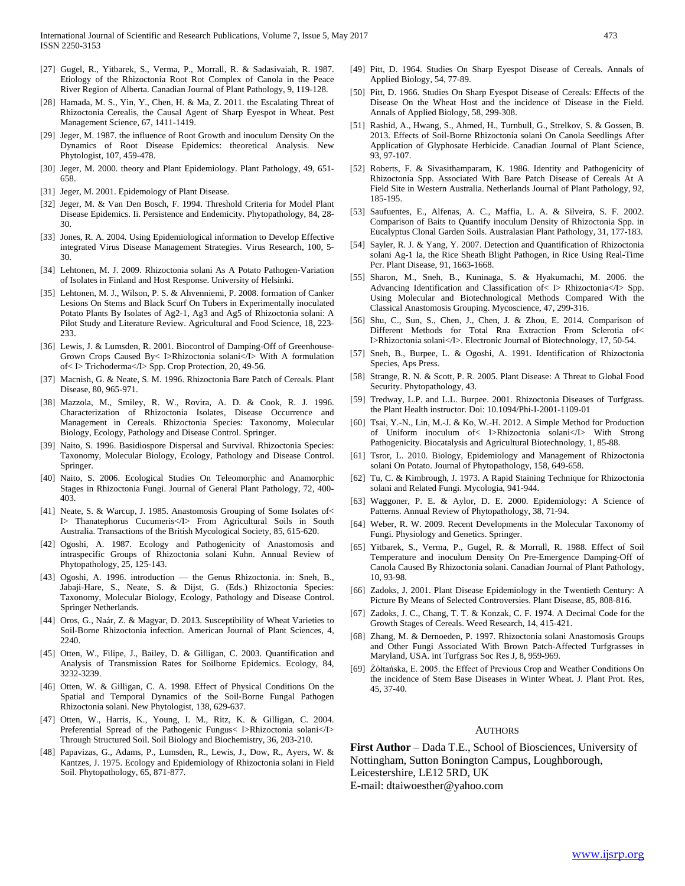- [27] Gugel, R., Yitbarek, S., Verma, P., Morrall, R. & Sadasivaiah, R. 1987. Etiology of the Rhizoctonia Root Rot Complex of Canola in the Peace River Region of Alberta. Canadian Journal of Plant Pathology, 9, 119-128.
- [28] Hamada, M. S., Yin, Y., Chen, H. & Ma, Z. 2011. the Escalating Threat of Rhizoctonia Cerealis, the Causal Agent of Sharp Eyespot in Wheat. Pest Management Science, 67, 1411-1419.
- [29] Jeger, M. 1987. the influence of Root Growth and inoculum Density On the Dynamics of Root Disease Epidemics: theoretical Analysis. New Phytologist, 107, 459-478.
- [30] Jeger, M. 2000. theory and Plant Epidemiology. Plant Pathology, 49, 651-658.
- [31] Jeger, M. 2001. Epidemology of Plant Disease.
- [32] Jeger, M. & Van Den Bosch, F. 1994. Threshold Criteria for Model Plant Disease Epidemics. Ii. Persistence and Endemicity. Phytopathology, 84, 28- 30.
- [33] Jones, R. A. 2004. Using Epidemiological information to Develop Effective integrated Virus Disease Management Strategies. Virus Research, 100, 5- 30.
- [34] Lehtonen, M. J. 2009. Rhizoctonia solani As A Potato Pathogen-Variation of Isolates in Finland and Host Response. University of Helsinki.
- [35] Lehtonen, M. J., Wilson, P. S. & Ahvenniemi, P. 2008. formation of Canker Lesions On Stems and Black Scurf On Tubers in Experimentally inoculated Potato Plants By Isolates of Ag2-1, Ag3 and Ag5 of Rhizoctonia solani: A Pilot Study and Literature Review. Agricultural and Food Science, 18, 223- 233.
- [36] Lewis, J. & Lumsden, R. 2001. Biocontrol of Damping-Off of Greenhouse-Grown Crops Caused By< I>Rhizoctonia solani</I> With A formulation of< I> Trichoderma</I> Spp. Crop Protection, 20, 49-56.
- [37] Macnish, G. & Neate, S. M. 1996. Rhizoctonia Bare Patch of Cereals. Plant Disease, 80, 965-971.
- [38] Mazzola, M., Smiley, R. W., Rovira, A. D. & Cook, R. J. 1996. Characterization of Rhizoctonia Isolates, Disease Occurrence and Management in Cereals. Rhizoctonia Species: Taxonomy, Molecular Biology, Ecology, Pathology and Disease Control. Springer.
- [39] Naito, S. 1996. Basidiospore Dispersal and Survival. Rhizoctonia Species: Taxonomy, Molecular Biology, Ecology, Pathology and Disease Control. Springer.
- [40] Naito, S. 2006. Ecological Studies On Teleomorphic and Anamorphic Stages in Rhizoctonia Fungi. Journal of General Plant Pathology, 72, 400- 403.
- [41] Neate, S. & Warcup, J. 1985. Anastomosis Grouping of Some Isolates of< I> Thanatephorus Cucumeris</I> From Agricultural Soils in South Australia. Transactions of the British Mycological Society, 85, 615-620.
- [42] Ogoshi, A. 1987. Ecology and Pathogenicity of Anastomosis and intraspecific Groups of Rhizoctonia solani Kuhn. Annual Review of Phytopathology, 25, 125-143.
- [43] Ogoshi, A. 1996. introduction the Genus Rhizoctonia. in: Sneh, B., Jabaji-Hare, S., Neate, S. & Dijst, G. (Eds.) Rhizoctonia Species: Taxonomy, Molecular Biology, Ecology, Pathology and Disease Control. Springer Netherlands.
- [44] Oros, G., Naár, Z. & Magyar, D. 2013. Susceptibility of Wheat Varieties to Soil-Borne Rhizoctonia infection. American Journal of Plant Sciences, 4, 2240.
- [45] Otten, W., Filipe, J., Bailey, D. & Gilligan, C. 2003. Quantification and Analysis of Transmission Rates for Soilborne Epidemics. Ecology, 84, 3232-3239.
- [46] Otten, W. & Gilligan, C. A. 1998. Effect of Physical Conditions On the Spatial and Temporal Dynamics of the Soil‐Borne Fungal Pathogen Rhizoctonia solani. New Phytologist, 138, 629-637.
- [47] Otten, W., Harris, K., Young, I. M., Ritz, K. & Gilligan, C. 2004. Preferential Spread of the Pathogenic Fungus< I>Rhizoctonia solani</I> Through Structured Soil. Soil Biology and Biochemistry, 36, 203-210.
- [48] Papavizas, G., Adams, P., Lumsden, R., Lewis, J., Dow, R., Ayers, W. & Kantzes, J. 1975. Ecology and Epidemiology of Rhizoctonia solani in Field Soil. Phytopathology, 65, 871-877.
- [49] Pitt, D. 1964. Studies On Sharp Eyespot Disease of Cereals. Annals of Applied Biology, 54, 77-89.
- [50] Pitt, D. 1966. Studies On Sharp Eyespot Disease of Cereals: Effects of the Disease On the Wheat Host and the incidence of Disease in the Field. Annals of Applied Biology, 58, 299-308.
- [51] Rashid, A., Hwang, S., Ahmed, H., Turnbull, G., Strelkov, S. & Gossen, B. 2013. Effects of Soil-Borne Rhizoctonia solani On Canola Seedlings After Application of Glyphosate Herbicide. Canadian Journal of Plant Science, 93, 97-107.
- [52] Roberts, F. & Sivasithamparam, K. 1986. Identity and Pathogenicity of Rhizoctonia Spp. Associated With Bare Patch Disease of Cereals At A Field Site in Western Australia. Netherlands Journal of Plant Pathology, 92, 185-195.
- [53] Saufuentes, E., Alfenas, A. C., Maffia, L. A. & Silveira, S. F. 2002. Comparison of Baits to Quantify inoculum Density of Rhizoctonia Spp. in Eucalyptus Clonal Garden Soils. Australasian Plant Pathology, 31, 177-183.
- [54] Sayler, R. J. & Yang, Y. 2007. Detection and Quantification of Rhizoctonia solani Ag-1 Ia, the Rice Sheath Blight Pathogen, in Rice Using Real-Time Pcr. Plant Disease, 91, 1663-1668.
- [55] Sharon, M., Sneh, B., Kuninaga, S. & Hyakumachi, M. 2006. the Advancing Identification and Classification of< I> Rhizoctonia</I> Spp. Using Molecular and Biotechnological Methods Compared With the Classical Anastomosis Grouping. Mycoscience, 47, 299-316.
- [56] Shu, C., Sun, S., Chen, J., Chen, J. & Zhou, E. 2014. Comparison of Different Methods for Total Rna Extraction From Sclerotia of< I>Rhizoctonia solani</I>. Electronic Journal of Biotechnology, 17, 50-54.
- [57] Sneh, B., Burpee, L. & Ogoshi, A. 1991. Identification of Rhizoctonia Species, Aps Press.
- [58] Strange, R. N. & Scott, P. R. 2005. Plant Disease: A Threat to Global Food Security. Phytopathology, 43.
- [59] Tredway, L.P. and L.L. Burpee. 2001. Rhizoctonia Diseases of Turfgrass. the Plant Health instructor. Doi: 10.1094/Phi-I-2001-1109-01
- [60] Tsai, Y.-N., Lin, M.-J. & Ko, W.-H. 2012. A Simple Method for Production of Uniform inoculum of< I>Rhizoctonia solani</I> With Strong Pathogenicity. Biocatalysis and Agricultural Biotechnology, 1, 85-88.
- [61] Tsror, L. 2010. Biology, Epidemiology and Management of Rhizoctonia solani On Potato. Journal of Phytopathology, 158, 649-658.
- [62] Tu, C. & Kimbrough, J. 1973. A Rapid Staining Technique for Rhizoctonia solani and Related Fungi. Mycologia, 941-944.
- [63] Waggoner, P. E. & Aylor, D. E. 2000. Epidemiology: A Science of Patterns. Annual Review of Phytopathology, 38, 71-94.
- [64] Weber, R. W. 2009. Recent Developments in the Molecular Taxonomy of Fungi. Physiology and Genetics. Springer.
- [65] Yitbarek, S., Verma, P., Gugel, R. & Morrall, R. 1988. Effect of Soil Temperature and inoculum Density On Pre-Emergence Damping-Off of Canola Caused By Rhizoctonia solani. Canadian Journal of Plant Pathology, 10, 93-98.
- [66] Zadoks, J. 2001. Plant Disease Epidemiology in the Twentieth Century: A Picture By Means of Selected Controversies. Plant Disease, 85, 808-816.
- [67] Zadoks, J. C., Chang, T. T. & Konzak, C. F. 1974. A Decimal Code for the Growth Stages of Cereals. Weed Research, 14, 415-421.
- [68] Zhang, M. & Dernoeden, P. 1997. Rhizoctonia solani Anastomosis Groups and Other Fungi Associated With Brown Patch-Affected Turfgrasses in Maryland, USA. int Turfgrass Soc Res J, 8, 959-969.
- [69] Żółtańska, E. 2005. the Effect of Previous Crop and Weather Conditions On the incidence of Stem Base Diseases in Winter Wheat. J. Plant Prot. Res, 45, 37-40.

#### **AUTHORS**

**First Author** – Dada T.E., School of Biosciences, University of Nottingham, Sutton Bonington Campus, Loughborough, Leicestershire, LE12 5RD, UK E-mail: dtaiwoesther@yahoo.com